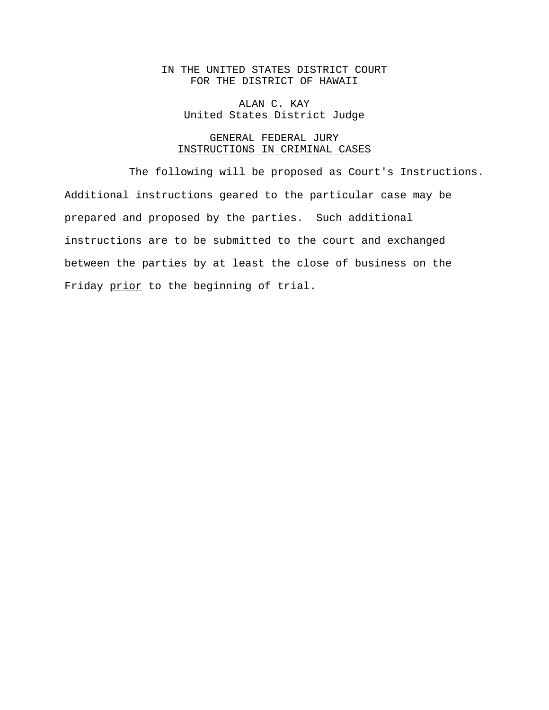# IN THE UNITED STATES DISTRICT COURT FOR THE DISTRICT OF HAWAII

ALAN C. KAY United States District Judge

# GENERAL FEDERAL JURY INSTRUCTIONS IN CRIMINAL CASES

The following will be proposed as Court's Instructions. Additional instructions geared to the particular case may be prepared and proposed by the parties. Such additional instructions are to be submitted to the court and exchanged between the parties by at least the close of business on the Friday prior to the beginning of trial.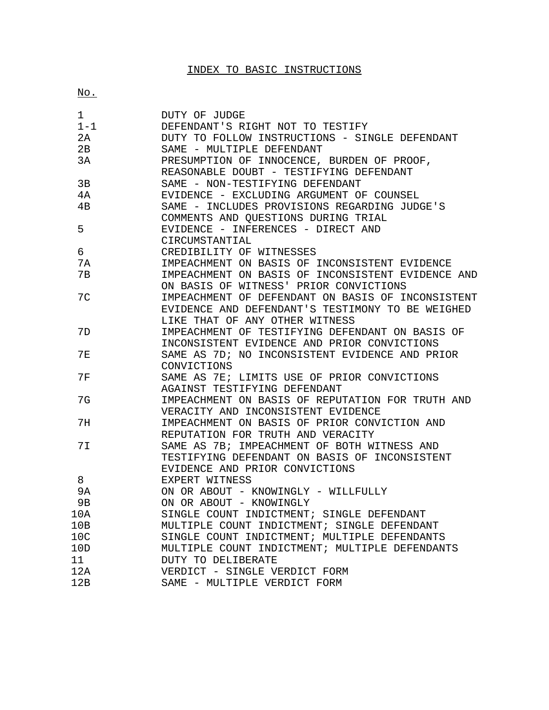# INDEX TO BASIC INSTRUCTIONS

No.

| 1         | DUTY OF JUDGE                                     |
|-----------|---------------------------------------------------|
| $1 - 1$   | DEFENDANT'S RIGHT NOT TO TESTIFY                  |
| 2A        | DUTY TO FOLLOW INSTRUCTIONS - SINGLE DEFENDANT    |
| 2B        | SAME - MULTIPLE DEFENDANT                         |
| 3A        | PRESUMPTION OF INNOCENCE, BURDEN OF PROOF,        |
|           | REASONABLE DOUBT - TESTIFYING DEFENDANT           |
| 3B        | SAME - NON-TESTIFYING DEFENDANT                   |
| 4A        | EVIDENCE - EXCLUDING ARGUMENT OF COUNSEL          |
| 4B        | SAME - INCLUDES PROVISIONS REGARDING JUDGE'S      |
|           | COMMENTS AND QUESTIONS DURING TRIAL               |
| 5         | EVIDENCE - INFERENCES - DIRECT AND                |
|           | CIRCUMSTANTIAL                                    |
| 6         | CREDIBILITY OF WITNESSES                          |
| 7A        | IMPEACHMENT ON BASIS OF INCONSISTENT EVIDENCE     |
| 7B        | IMPEACHMENT ON BASIS OF INCONSISTENT EVIDENCE AND |
|           | ON BASIS OF WITNESS' PRIOR CONVICTIONS            |
| 7C        | IMPEACHMENT OF DEFENDANT ON BASIS OF INCONSISTENT |
|           | EVIDENCE AND DEFENDANT'S TESTIMONY TO BE WEIGHED  |
|           | LIKE THAT OF ANY OTHER WITNESS                    |
| 7D        | IMPEACHMENT OF TESTIFYING DEFENDANT ON BASIS OF   |
|           | INCONSISTENT EVIDENCE AND PRIOR CONVICTIONS       |
| <b>7E</b> | SAME AS 7D; NO INCONSISTENT EVIDENCE AND PRIOR    |
|           | CONVICTIONS                                       |
| <b>7F</b> | SAME AS 7E; LIMITS USE OF PRIOR CONVICTIONS       |
|           | AGAINST TESTIFYING DEFENDANT                      |
| 7G        | IMPEACHMENT ON BASIS OF REPUTATION FOR TRUTH AND  |
|           | VERACITY AND INCONSISTENT EVIDENCE                |
| 7H        | IMPEACHMENT ON BASIS OF PRIOR CONVICTION AND      |
|           | REPUTATION FOR TRUTH AND VERACITY                 |
| 7I        | SAME AS 7B; IMPEACHMENT OF BOTH WITNESS AND       |
|           | TESTIFYING DEFENDANT ON BASIS OF INCONSISTENT     |
|           | EVIDENCE AND PRIOR CONVICTIONS                    |
| 8         | EXPERT WITNESS                                    |
| 9A        | ON OR ABOUT - KNOWINGLY - WILLFULLY               |
| 9Β        | ON OR ABOUT - KNOWINGLY                           |
| 10A       | SINGLE COUNT INDICTMENT; SINGLE DEFENDANT         |
| 10B       | MULTIPLE COUNT INDICTMENT; SINGLE DEFENDANT       |
| 10C       | SINGLE COUNT INDICTMENT; MULTIPLE DEFENDANTS      |
| 10D       | MULTIPLE COUNT INDICTMENT; MULTIPLE DEFENDANTS    |
| 11        | DUTY TO DELIBERATE                                |
| 12A       | VERDICT - SINGLE VERDICT FORM                     |
| 12B       | SAME - MULTIPLE VERDICT FORM                      |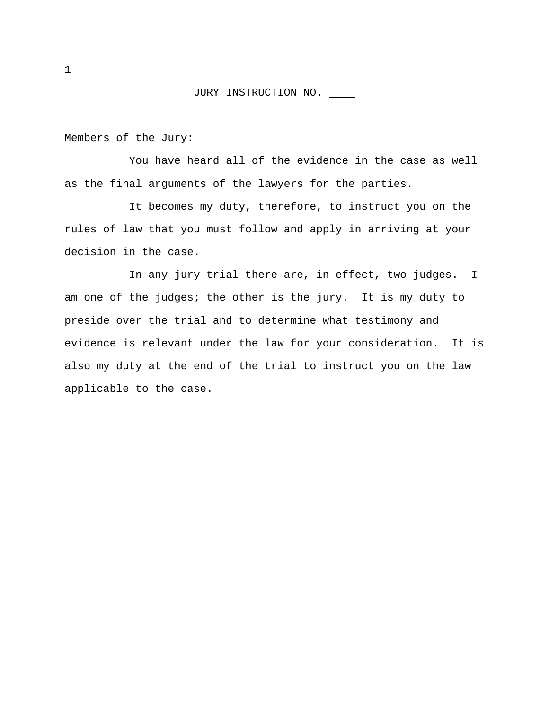Members of the Jury:

You have heard all of the evidence in the case as well as the final arguments of the lawyers for the parties.

It becomes my duty, therefore, to instruct you on the rules of law that you must follow and apply in arriving at your decision in the case.

In any jury trial there are, in effect, two judges. I am one of the judges; the other is the jury. It is my duty to preside over the trial and to determine what testimony and evidence is relevant under the law for your consideration. It is also my duty at the end of the trial to instruct you on the law applicable to the case.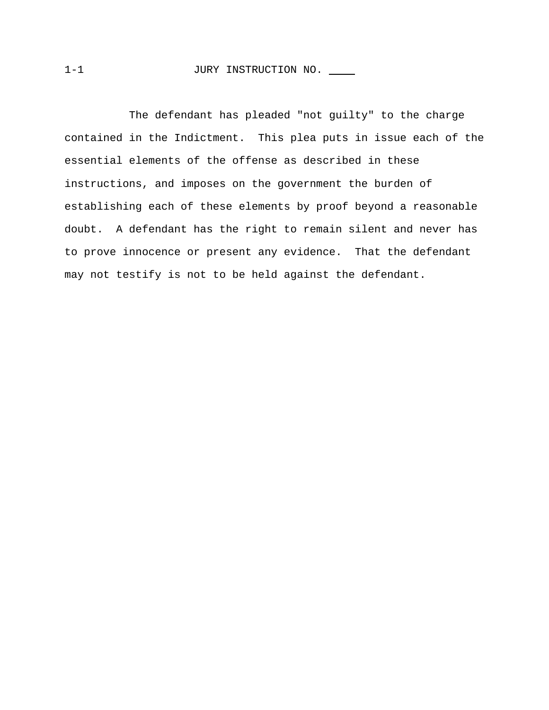The defendant has pleaded "not guilty" to the charge contained in the Indictment. This plea puts in issue each of the essential elements of the offense as described in these instructions, and imposes on the government the burden of establishing each of these elements by proof beyond a reasonable doubt. A defendant has the right to remain silent and never has to prove innocence or present any evidence. That the defendant may not testify is not to be held against the defendant.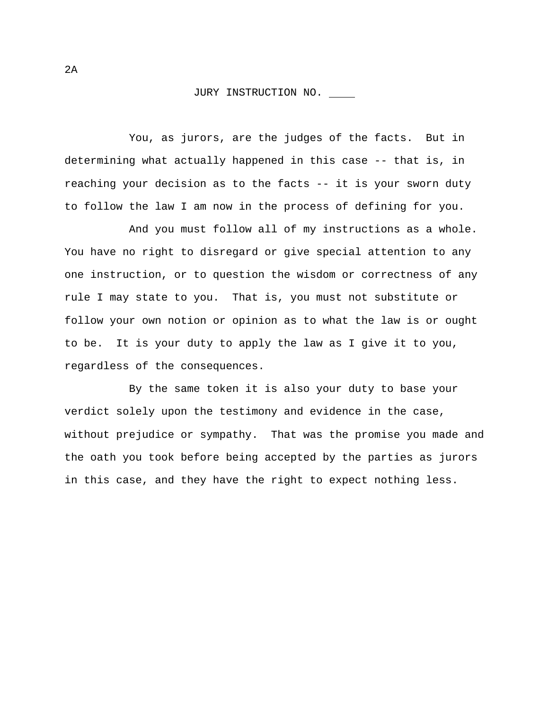You, as jurors, are the judges of the facts. But in determining what actually happened in this case -- that is, in reaching your decision as to the facts -- it is your sworn duty to follow the law I am now in the process of defining for you.

And you must follow all of my instructions as a whole. You have no right to disregard or give special attention to any one instruction, or to question the wisdom or correctness of any rule I may state to you. That is, you must not substitute or follow your own notion or opinion as to what the law is or ought to be. It is your duty to apply the law as I give it to you, regardless of the consequences.

By the same token it is also your duty to base your verdict solely upon the testimony and evidence in the case, without prejudice or sympathy. That was the promise you made and the oath you took before being accepted by the parties as jurors in this case, and they have the right to expect nothing less.

2A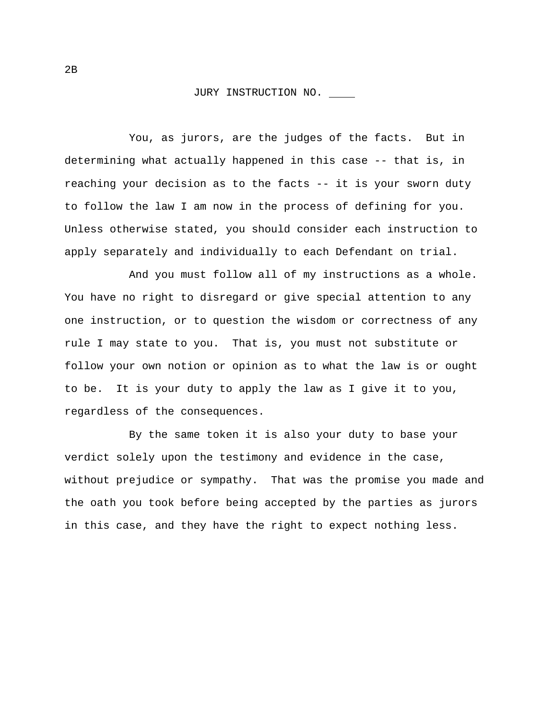You, as jurors, are the judges of the facts. But in determining what actually happened in this case -- that is, in reaching your decision as to the facts -- it is your sworn duty to follow the law I am now in the process of defining for you. Unless otherwise stated, you should consider each instruction to apply separately and individually to each Defendant on trial.

And you must follow all of my instructions as a whole. You have no right to disregard or give special attention to any one instruction, or to question the wisdom or correctness of any rule I may state to you. That is, you must not substitute or follow your own notion or opinion as to what the law is or ought to be. It is your duty to apply the law as I give it to you, regardless of the consequences.

By the same token it is also your duty to base your verdict solely upon the testimony and evidence in the case, without prejudice or sympathy. That was the promise you made and the oath you took before being accepted by the parties as jurors in this case, and they have the right to expect nothing less.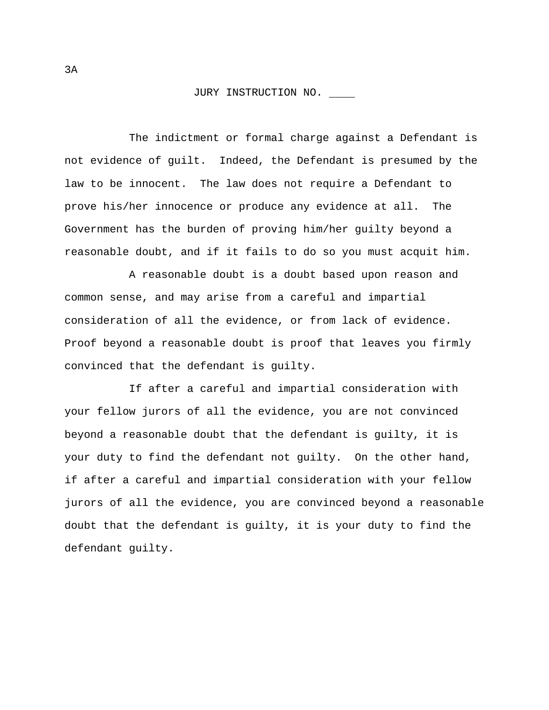The indictment or formal charge against a Defendant is not evidence of guilt. Indeed, the Defendant is presumed by the law to be innocent. The law does not require a Defendant to prove his/her innocence or produce any evidence at all. The Government has the burden of proving him/her guilty beyond a reasonable doubt, and if it fails to do so you must acquit him.

A reasonable doubt is a doubt based upon reason and common sense, and may arise from a careful and impartial consideration of all the evidence, or from lack of evidence. Proof beyond a reasonable doubt is proof that leaves you firmly convinced that the defendant is guilty.

If after a careful and impartial consideration with your fellow jurors of all the evidence, you are not convinced beyond a reasonable doubt that the defendant is guilty, it is your duty to find the defendant not guilty. On the other hand, if after a careful and impartial consideration with your fellow jurors of all the evidence, you are convinced beyond a reasonable doubt that the defendant is guilty, it is your duty to find the defendant guilty.

3A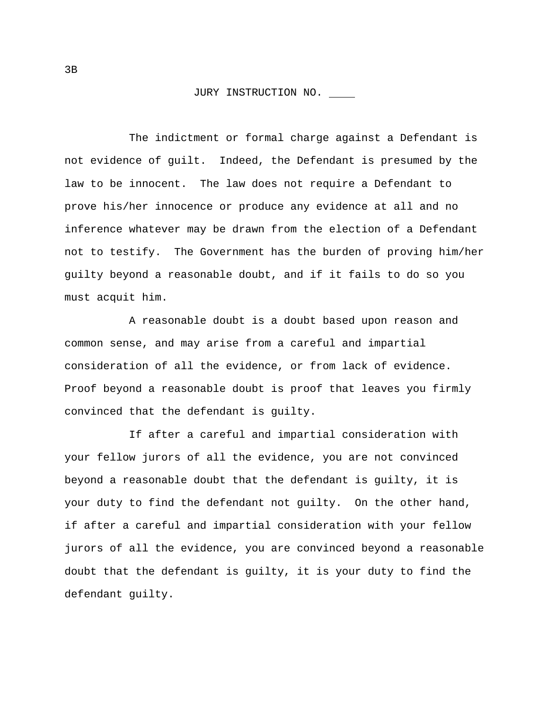The indictment or formal charge against a Defendant is not evidence of guilt. Indeed, the Defendant is presumed by the law to be innocent. The law does not require a Defendant to prove his/her innocence or produce any evidence at all and no inference whatever may be drawn from the election of a Defendant not to testify. The Government has the burden of proving him/her guilty beyond a reasonable doubt, and if it fails to do so you must acquit him.

A reasonable doubt is a doubt based upon reason and common sense, and may arise from a careful and impartial consideration of all the evidence, or from lack of evidence. Proof beyond a reasonable doubt is proof that leaves you firmly convinced that the defendant is guilty.

If after a careful and impartial consideration with your fellow jurors of all the evidence, you are not convinced beyond a reasonable doubt that the defendant is guilty, it is your duty to find the defendant not guilty. On the other hand, if after a careful and impartial consideration with your fellow jurors of all the evidence, you are convinced beyond a reasonable doubt that the defendant is guilty, it is your duty to find the defendant guilty.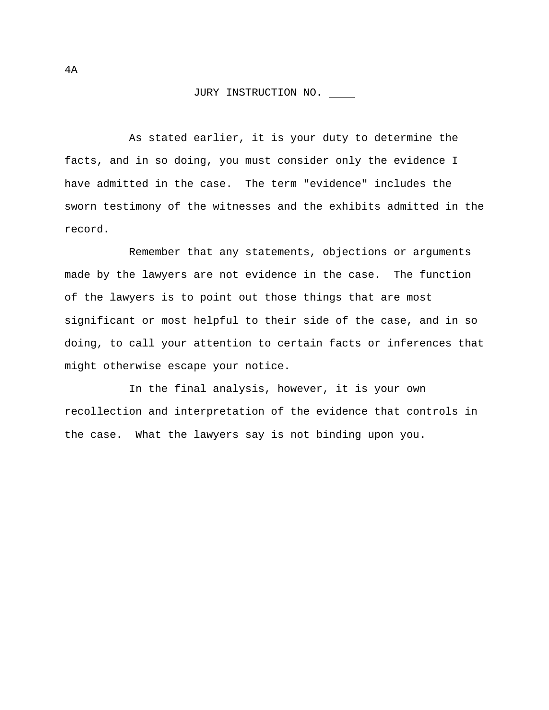As stated earlier, it is your duty to determine the facts, and in so doing, you must consider only the evidence I have admitted in the case. The term "evidence" includes the sworn testimony of the witnesses and the exhibits admitted in the record.

Remember that any statements, objections or arguments made by the lawyers are not evidence in the case. The function of the lawyers is to point out those things that are most significant or most helpful to their side of the case, and in so doing, to call your attention to certain facts or inferences that might otherwise escape your notice.

In the final analysis, however, it is your own recollection and interpretation of the evidence that controls in the case. What the lawyers say is not binding upon you.

4A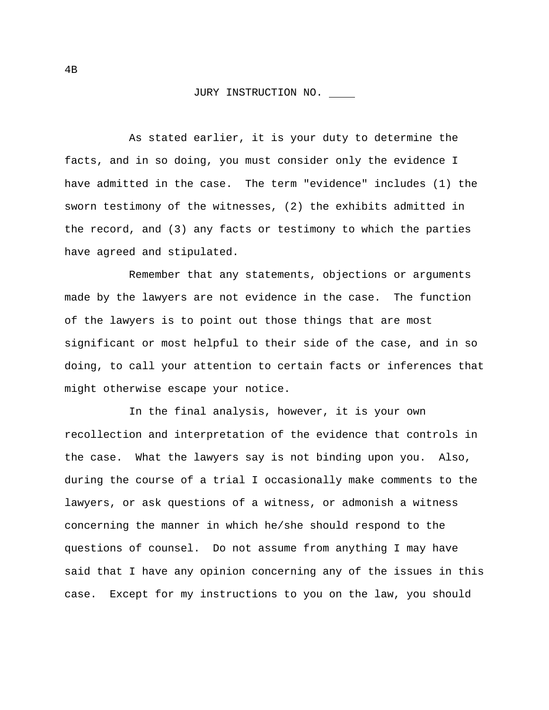As stated earlier, it is your duty to determine the facts, and in so doing, you must consider only the evidence I have admitted in the case. The term "evidence" includes (1) the sworn testimony of the witnesses, (2) the exhibits admitted in the record, and (3) any facts or testimony to which the parties have agreed and stipulated.

Remember that any statements, objections or arguments made by the lawyers are not evidence in the case. The function of the lawyers is to point out those things that are most significant or most helpful to their side of the case, and in so doing, to call your attention to certain facts or inferences that might otherwise escape your notice.

In the final analysis, however, it is your own recollection and interpretation of the evidence that controls in the case. What the lawyers say is not binding upon you. Also, during the course of a trial I occasionally make comments to the lawyers, or ask questions of a witness, or admonish a witness concerning the manner in which he/she should respond to the questions of counsel. Do not assume from anything I may have said that I have any opinion concerning any of the issues in this case. Except for my instructions to you on the law, you should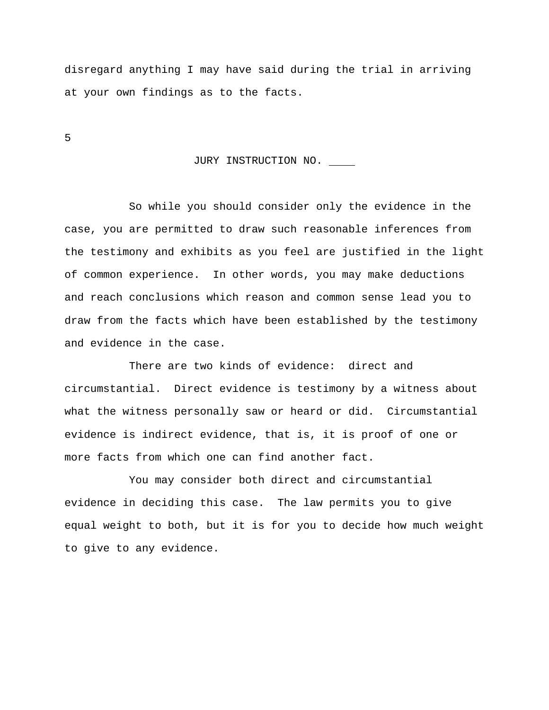disregard anything I may have said during the trial in arriving at your own findings as to the facts.

5

# JURY INSTRUCTION NO.

So while you should consider only the evidence in the case, you are permitted to draw such reasonable inferences from the testimony and exhibits as you feel are justified in the light of common experience. In other words, you may make deductions and reach conclusions which reason and common sense lead you to draw from the facts which have been established by the testimony and evidence in the case.

There are two kinds of evidence: direct and circumstantial. Direct evidence is testimony by a witness about what the witness personally saw or heard or did. Circumstantial evidence is indirect evidence, that is, it is proof of one or more facts from which one can find another fact.

You may consider both direct and circumstantial evidence in deciding this case. The law permits you to give equal weight to both, but it is for you to decide how much weight to give to any evidence.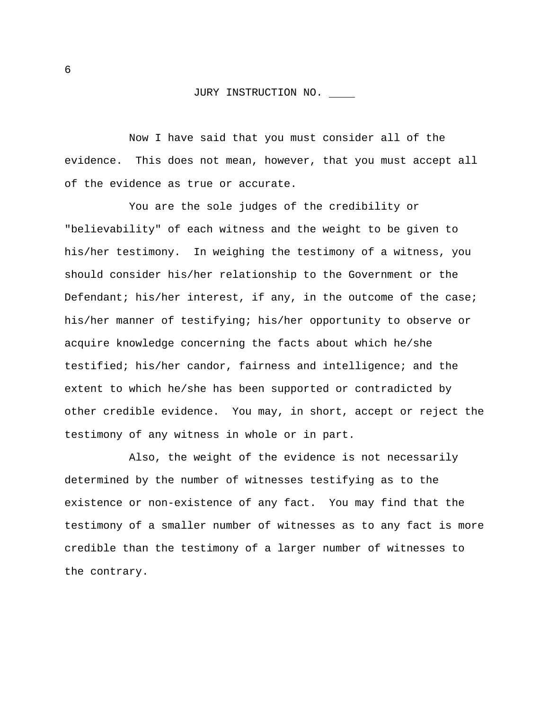Now I have said that you must consider all of the evidence. This does not mean, however, that you must accept all of the evidence as true or accurate.

You are the sole judges of the credibility or "believability" of each witness and the weight to be given to his/her testimony. In weighing the testimony of a witness, you should consider his/her relationship to the Government or the Defendant; his/her interest, if any, in the outcome of the case; his/her manner of testifying; his/her opportunity to observe or acquire knowledge concerning the facts about which he/she testified; his/her candor, fairness and intelligence; and the extent to which he/she has been supported or contradicted by other credible evidence. You may, in short, accept or reject the testimony of any witness in whole or in part.

Also, the weight of the evidence is not necessarily determined by the number of witnesses testifying as to the existence or non-existence of any fact. You may find that the testimony of a smaller number of witnesses as to any fact is more credible than the testimony of a larger number of witnesses to the contrary.

6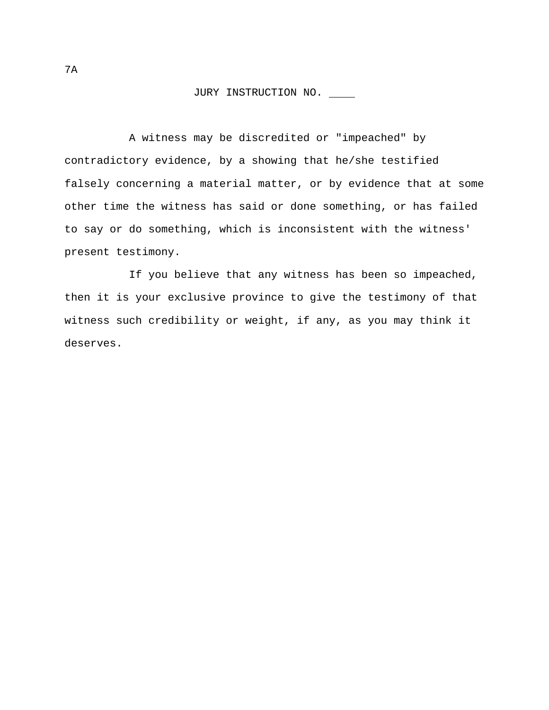A witness may be discredited or "impeached" by contradictory evidence, by a showing that he/she testified falsely concerning a material matter, or by evidence that at some other time the witness has said or done something, or has failed to say or do something, which is inconsistent with the witness' present testimony.

If you believe that any witness has been so impeached, then it is your exclusive province to give the testimony of that witness such credibility or weight, if any, as you may think it deserves.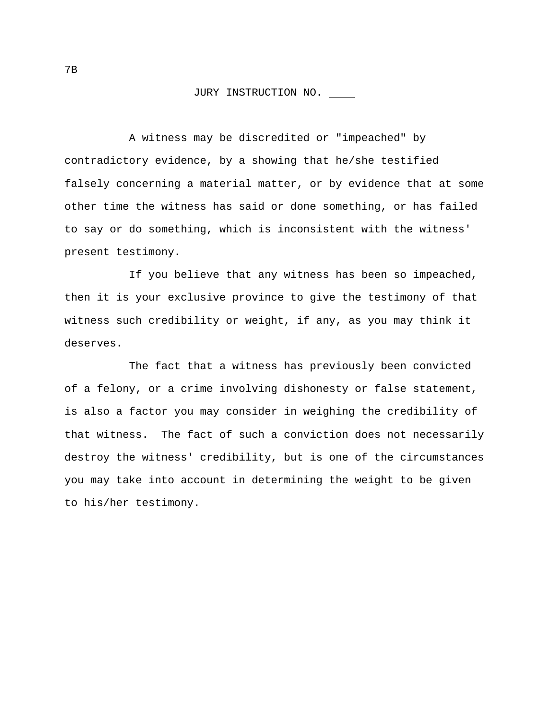A witness may be discredited or "impeached" by contradictory evidence, by a showing that he/she testified falsely concerning a material matter, or by evidence that at some other time the witness has said or done something, or has failed to say or do something, which is inconsistent with the witness' present testimony.

If you believe that any witness has been so impeached, then it is your exclusive province to give the testimony of that witness such credibility or weight, if any, as you may think it deserves.

The fact that a witness has previously been convicted of a felony, or a crime involving dishonesty or false statement, is also a factor you may consider in weighing the credibility of that witness. The fact of such a conviction does not necessarily destroy the witness' credibility, but is one of the circumstances you may take into account in determining the weight to be given to his/her testimony.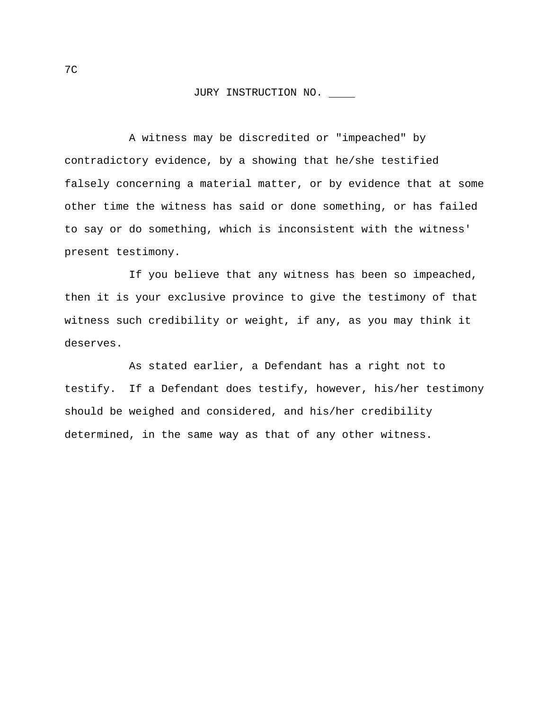A witness may be discredited or "impeached" by contradictory evidence, by a showing that he/she testified falsely concerning a material matter, or by evidence that at some other time the witness has said or done something, or has failed to say or do something, which is inconsistent with the witness' present testimony.

If you believe that any witness has been so impeached, then it is your exclusive province to give the testimony of that witness such credibility or weight, if any, as you may think it deserves.

As stated earlier, a Defendant has a right not to testify. If a Defendant does testify, however, his/her testimony should be weighed and considered, and his/her credibility determined, in the same way as that of any other witness.

7C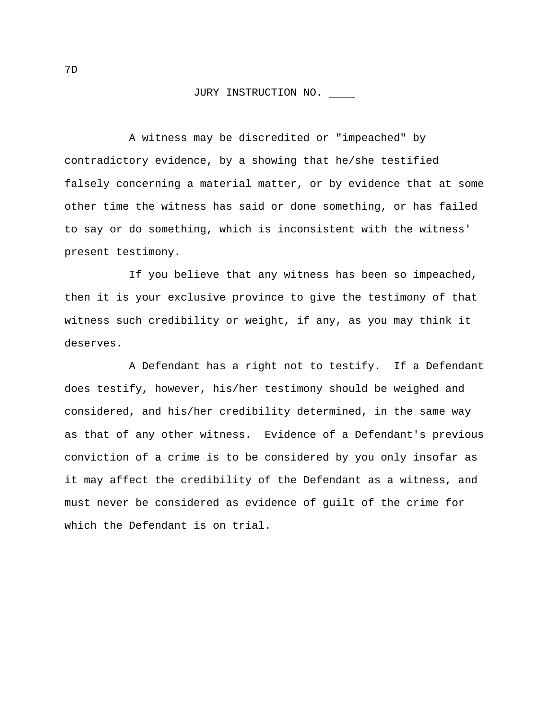A witness may be discredited or "impeached" by contradictory evidence, by a showing that he/she testified falsely concerning a material matter, or by evidence that at some other time the witness has said or done something, or has failed to say or do something, which is inconsistent with the witness' present testimony.

If you believe that any witness has been so impeached, then it is your exclusive province to give the testimony of that witness such credibility or weight, if any, as you may think it deserves.

A Defendant has a right not to testify. If a Defendant does testify, however, his/her testimony should be weighed and considered, and his/her credibility determined, in the same way as that of any other witness. Evidence of a Defendant's previous conviction of a crime is to be considered by you only insofar as it may affect the credibility of the Defendant as a witness, and must never be considered as evidence of guilt of the crime for which the Defendant is on trial.

7D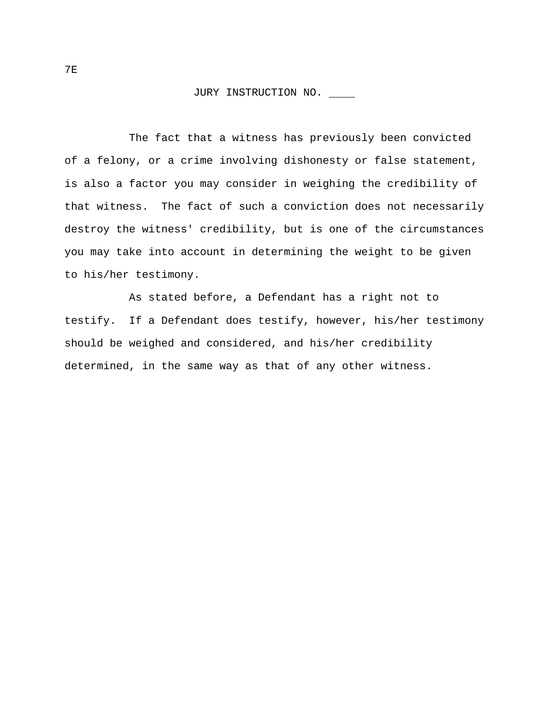The fact that a witness has previously been convicted of a felony, or a crime involving dishonesty or false statement, is also a factor you may consider in weighing the credibility of that witness. The fact of such a conviction does not necessarily destroy the witness' credibility, but is one of the circumstances you may take into account in determining the weight to be given to his/her testimony.

As stated before, a Defendant has a right not to testify. If a Defendant does testify, however, his/her testimony should be weighed and considered, and his/her credibility determined, in the same way as that of any other witness.

7E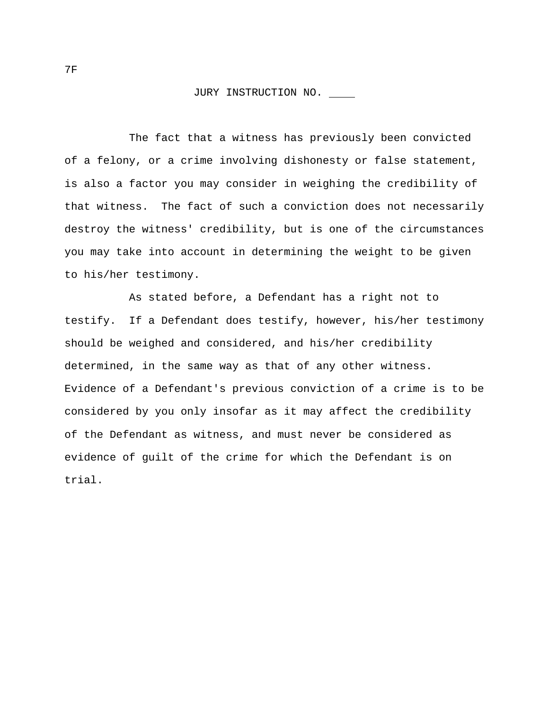The fact that a witness has previously been convicted of a felony, or a crime involving dishonesty or false statement, is also a factor you may consider in weighing the credibility of that witness. The fact of such a conviction does not necessarily destroy the witness' credibility, but is one of the circumstances you may take into account in determining the weight to be given to his/her testimony.

As stated before, a Defendant has a right not to testify. If a Defendant does testify, however, his/her testimony should be weighed and considered, and his/her credibility determined, in the same way as that of any other witness. Evidence of a Defendant's previous conviction of a crime is to be considered by you only insofar as it may affect the credibility of the Defendant as witness, and must never be considered as evidence of guilt of the crime for which the Defendant is on trial.

7F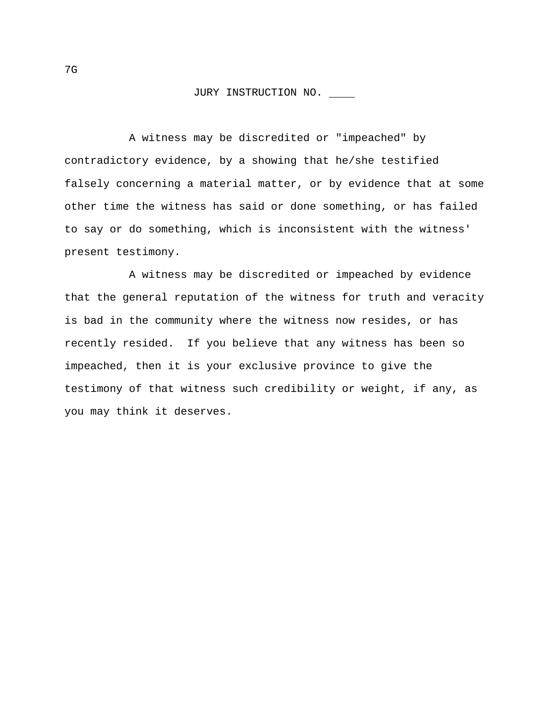A witness may be discredited or "impeached" by contradictory evidence, by a showing that he/she testified falsely concerning a material matter, or by evidence that at some other time the witness has said or done something, or has failed to say or do something, which is inconsistent with the witness' present testimony.

A witness may be discredited or impeached by evidence that the general reputation of the witness for truth and veracity is bad in the community where the witness now resides, or has recently resided. If you believe that any witness has been so impeached, then it is your exclusive province to give the testimony of that witness such credibility or weight, if any, as you may think it deserves.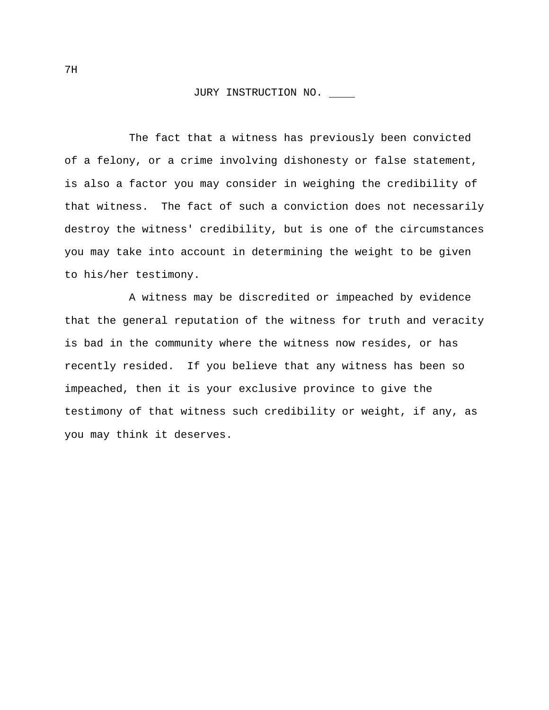The fact that a witness has previously been convicted of a felony, or a crime involving dishonesty or false statement, is also a factor you may consider in weighing the credibility of that witness. The fact of such a conviction does not necessarily destroy the witness' credibility, but is one of the circumstances you may take into account in determining the weight to be given to his/her testimony.

A witness may be discredited or impeached by evidence that the general reputation of the witness for truth and veracity is bad in the community where the witness now resides, or has recently resided. If you believe that any witness has been so impeached, then it is your exclusive province to give the testimony of that witness such credibility or weight, if any, as you may think it deserves.

7H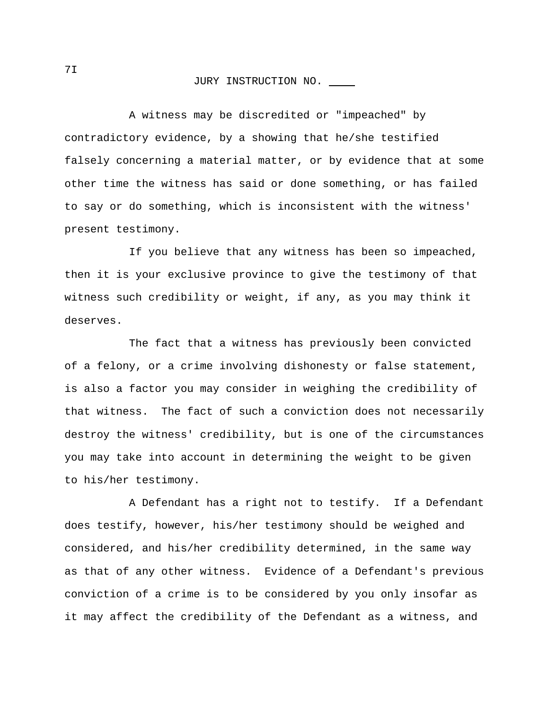A witness may be discredited or "impeached" by contradictory evidence, by a showing that he/she testified falsely concerning a material matter, or by evidence that at some other time the witness has said or done something, or has failed to say or do something, which is inconsistent with the witness' present testimony.

If you believe that any witness has been so impeached, then it is your exclusive province to give the testimony of that witness such credibility or weight, if any, as you may think it deserves.

The fact that a witness has previously been convicted of a felony, or a crime involving dishonesty or false statement, is also a factor you may consider in weighing the credibility of that witness. The fact of such a conviction does not necessarily destroy the witness' credibility, but is one of the circumstances you may take into account in determining the weight to be given to his/her testimony.

A Defendant has a right not to testify. If a Defendant does testify, however, his/her testimony should be weighed and considered, and his/her credibility determined, in the same way as that of any other witness. Evidence of a Defendant's previous conviction of a crime is to be considered by you only insofar as it may affect the credibility of the Defendant as a witness, and

7I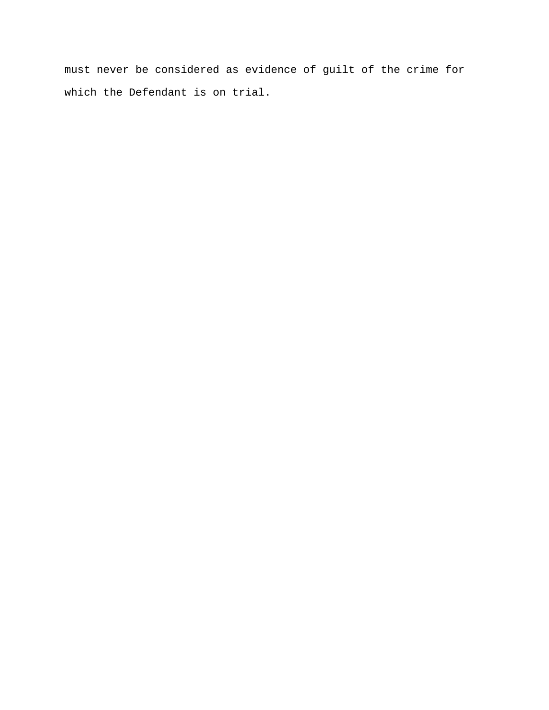must never be considered as evidence of guilt of the crime for which the Defendant is on trial.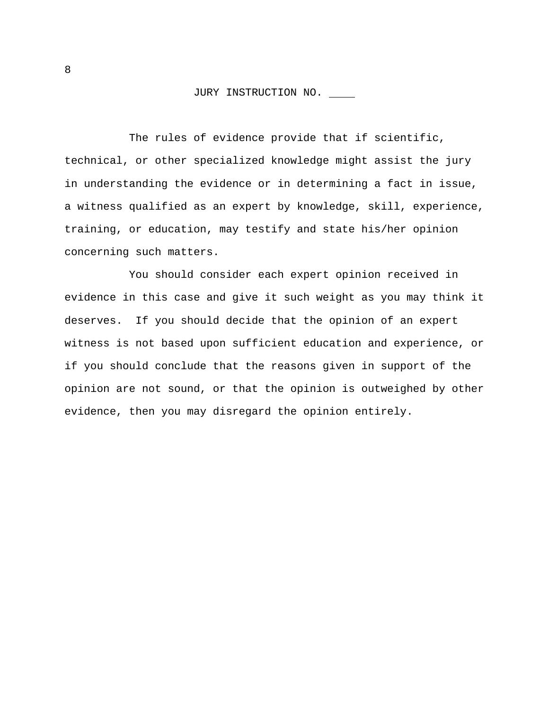The rules of evidence provide that if scientific, technical, or other specialized knowledge might assist the jury in understanding the evidence or in determining a fact in issue, a witness qualified as an expert by knowledge, skill, experience, training, or education, may testify and state his/her opinion concerning such matters.

You should consider each expert opinion received in evidence in this case and give it such weight as you may think it deserves. If you should decide that the opinion of an expert witness is not based upon sufficient education and experience, or if you should conclude that the reasons given in support of the opinion are not sound, or that the opinion is outweighed by other evidence, then you may disregard the opinion entirely.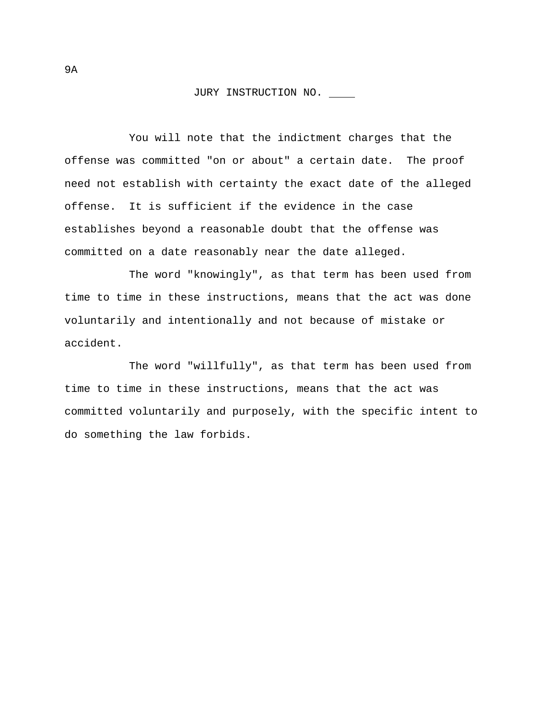You will note that the indictment charges that the offense was committed "on or about" a certain date. The proof need not establish with certainty the exact date of the alleged offense. It is sufficient if the evidence in the case establishes beyond a reasonable doubt that the offense was committed on a date reasonably near the date alleged.

The word "knowingly", as that term has been used from time to time in these instructions, means that the act was done voluntarily and intentionally and not because of mistake or accident.

The word "willfully", as that term has been used from time to time in these instructions, means that the act was committed voluntarily and purposely, with the specific intent to do something the law forbids.

9A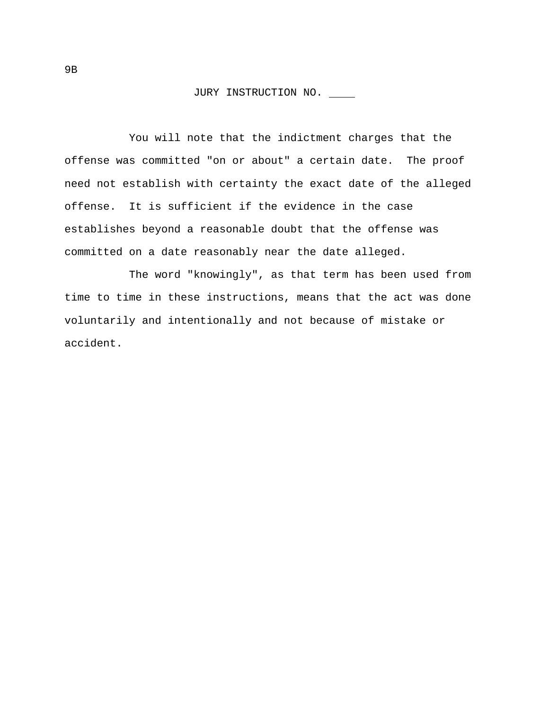You will note that the indictment charges that the offense was committed "on or about" a certain date. The proof need not establish with certainty the exact date of the alleged offense. It is sufficient if the evidence in the case establishes beyond a reasonable doubt that the offense was committed on a date reasonably near the date alleged.

The word "knowingly", as that term has been used from time to time in these instructions, means that the act was done voluntarily and intentionally and not because of mistake or accident.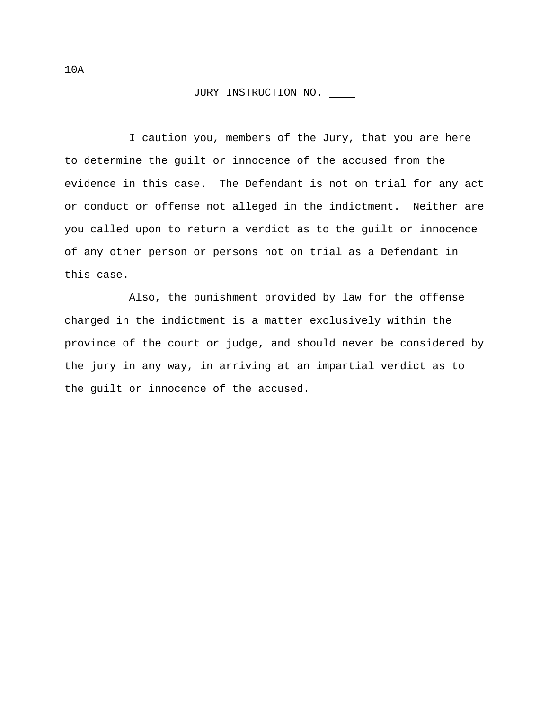I caution you, members of the Jury, that you are here to determine the guilt or innocence of the accused from the evidence in this case. The Defendant is not on trial for any act or conduct or offense not alleged in the indictment. Neither are you called upon to return a verdict as to the guilt or innocence of any other person or persons not on trial as a Defendant in this case.

Also, the punishment provided by law for the offense charged in the indictment is a matter exclusively within the province of the court or judge, and should never be considered by the jury in any way, in arriving at an impartial verdict as to the guilt or innocence of the accused.

10A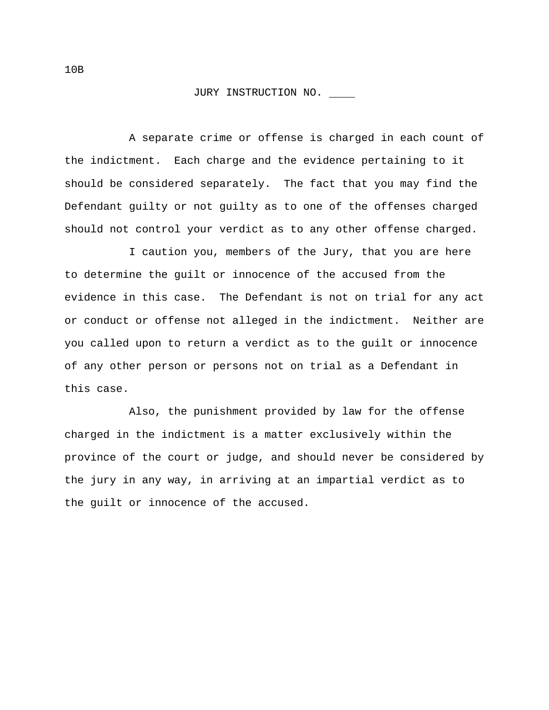A separate crime or offense is charged in each count of the indictment. Each charge and the evidence pertaining to it should be considered separately. The fact that you may find the Defendant guilty or not guilty as to one of the offenses charged should not control your verdict as to any other offense charged.

I caution you, members of the Jury, that you are here to determine the guilt or innocence of the accused from the evidence in this case. The Defendant is not on trial for any act or conduct or offense not alleged in the indictment. Neither are you called upon to return a verdict as to the guilt or innocence of any other person or persons not on trial as a Defendant in this case.

Also, the punishment provided by law for the offense charged in the indictment is a matter exclusively within the province of the court or judge, and should never be considered by the jury in any way, in arriving at an impartial verdict as to the guilt or innocence of the accused.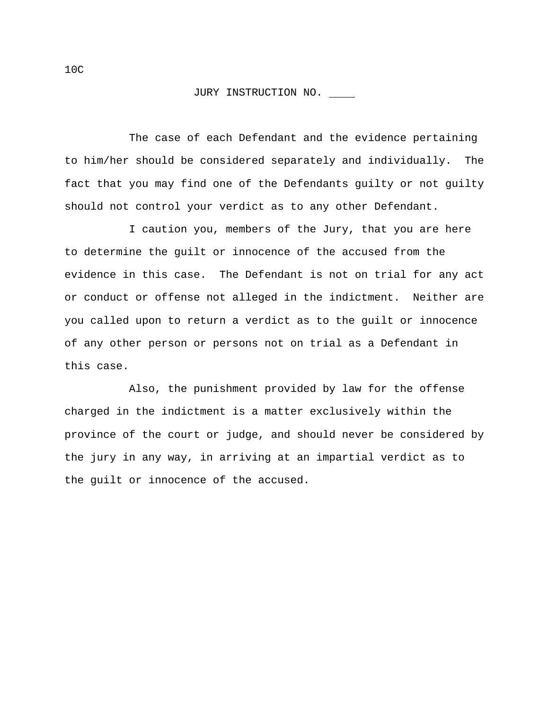The case of each Defendant and the evidence pertaining to him/her should be considered separately and individually. The fact that you may find one of the Defendants guilty or not guilty should not control your verdict as to any other Defendant.

I caution you, members of the Jury, that you are here to determine the guilt or innocence of the accused from the evidence in this case. The Defendant is not on trial for any act or conduct or offense not alleged in the indictment. Neither are you called upon to return a verdict as to the guilt or innocence of any other person or persons not on trial as a Defendant in this case.

Also, the punishment provided by law for the offense charged in the indictment is a matter exclusively within the province of the court or judge, and should never be considered by the jury in any way, in arriving at an impartial verdict as to the guilt or innocence of the accused.

10C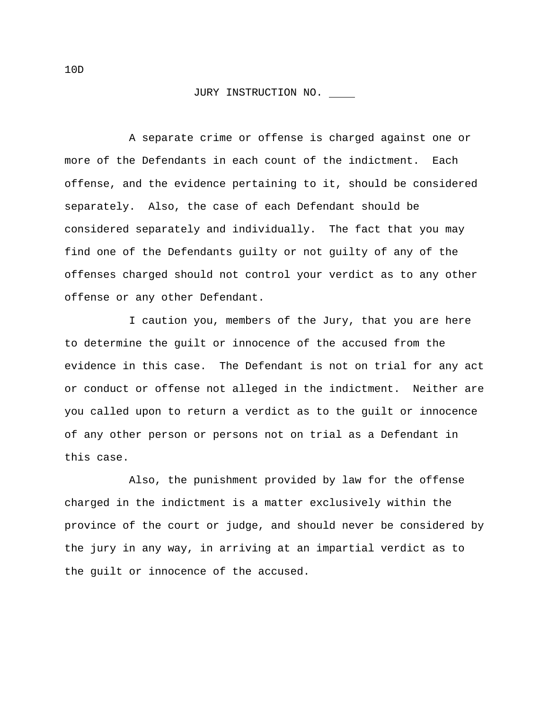A separate crime or offense is charged against one or more of the Defendants in each count of the indictment. Each offense, and the evidence pertaining to it, should be considered separately. Also, the case of each Defendant should be considered separately and individually. The fact that you may find one of the Defendants guilty or not guilty of any of the offenses charged should not control your verdict as to any other offense or any other Defendant.

I caution you, members of the Jury, that you are here to determine the guilt or innocence of the accused from the evidence in this case. The Defendant is not on trial for any act or conduct or offense not alleged in the indictment. Neither are you called upon to return a verdict as to the guilt or innocence of any other person or persons not on trial as a Defendant in this case.

Also, the punishment provided by law for the offense charged in the indictment is a matter exclusively within the province of the court or judge, and should never be considered by the jury in any way, in arriving at an impartial verdict as to the guilt or innocence of the accused.

10D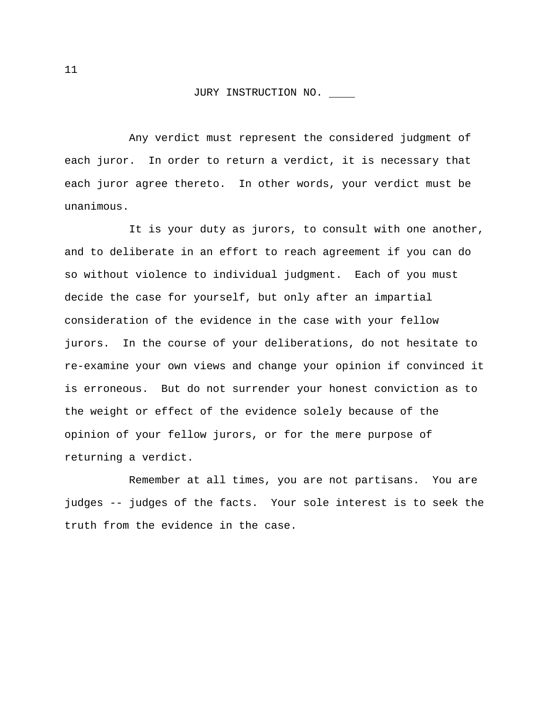Any verdict must represent the considered judgment of each juror. In order to return a verdict, it is necessary that each juror agree thereto. In other words, your verdict must be unanimous.

It is your duty as jurors, to consult with one another, and to deliberate in an effort to reach agreement if you can do so without violence to individual judgment. Each of you must decide the case for yourself, but only after an impartial consideration of the evidence in the case with your fellow jurors. In the course of your deliberations, do not hesitate to re-examine your own views and change your opinion if convinced it is erroneous. But do not surrender your honest conviction as to the weight or effect of the evidence solely because of the opinion of your fellow jurors, or for the mere purpose of returning a verdict.

Remember at all times, you are not partisans. You are judges -- judges of the facts. Your sole interest is to seek the truth from the evidence in the case.

11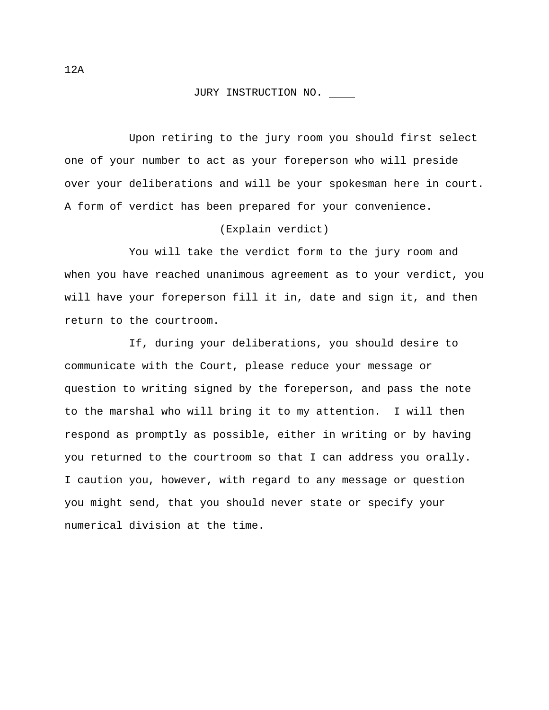Upon retiring to the jury room you should first select one of your number to act as your foreperson who will preside over your deliberations and will be your spokesman here in court. A form of verdict has been prepared for your convenience.

#### (Explain verdict)

You will take the verdict form to the jury room and when you have reached unanimous agreement as to your verdict, you will have your foreperson fill it in, date and sign it, and then return to the courtroom.

If, during your deliberations, you should desire to communicate with the Court, please reduce your message or question to writing signed by the foreperson, and pass the note to the marshal who will bring it to my attention. I will then respond as promptly as possible, either in writing or by having you returned to the courtroom so that I can address you orally. I caution you, however, with regard to any message or question you might send, that you should never state or specify your numerical division at the time.

12A